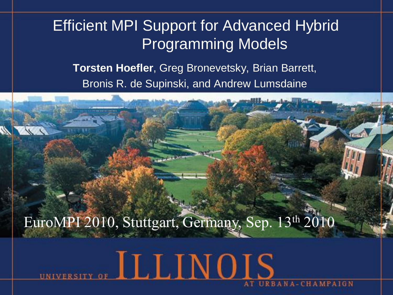#### Efficient MPI Support for Advanced Hybrid Programming Models

**Torsten Hoefler**, Greg Bronevetsky, Brian Barrett, Bronis R. de Supinski, and Andrew Lumsdaine



ILLINOIS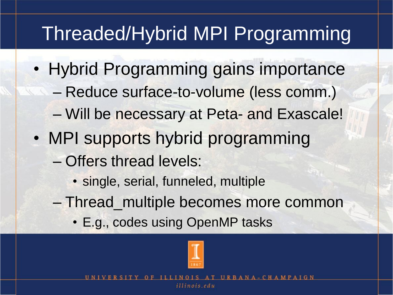### Threaded/Hybrid MPI Programming

- Hybrid Programming gains importance
	- Reduce surface-to-volume (less comm.)
	- Will be necessary at Peta- and Exascale!
- MPI supports hybrid programming
	- Offers thread levels:
		- single, serial, funneled, multiple
	- Thread\_multiple becomes more common
		- E.g., codes using OpenMP tasks

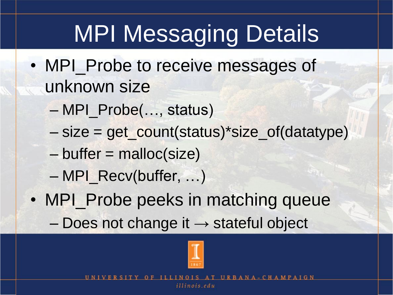# MPI Messaging Details

- MPI\_Probe to receive messages of unknown size
	- MPI\_Probe(…, status)
	- size = get\_count(status)\*size\_of(datatype)
	- $-$  buffer = malloc(size)
	- MPI\_Recv(buffer, …)
- MPI\_Probe peeks in matching queue
	- $-$  Does not change it  $\rightarrow$  stateful object

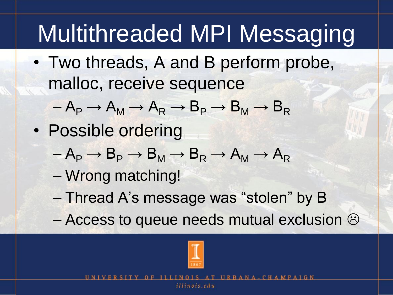# Multithreaded MPI Messaging

• Two threads, A and B perform probe, malloc, receive sequence

$$
-A_P \rightarrow A_M \rightarrow A_R \rightarrow B_P \rightarrow B_M \rightarrow B_R
$$

- Possible ordering
	- $-A_{\text{P}} \rightarrow B_{\text{P}} \rightarrow B_{\text{M}} \rightarrow B_{\text{R}} \rightarrow A_{\text{M}} \rightarrow A_{\text{R}}$
	- Wrong matching!
	- Thread A's message was "stolen" by B
	- Access to queue needs mutual exclusion  $\odot$

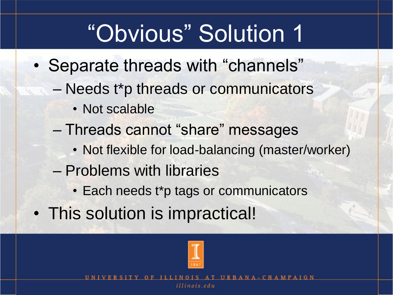# "Obvious" Solution 1

- Separate threads with "channels"
	- Needs t\*p threads or communicators
		- Not scalable
	- Threads cannot "share" messages
		- Not flexible for load-balancing (master/worker)
	- Problems with libraries
		- Each needs t\*p tags or communicators
- This solution is impractical!

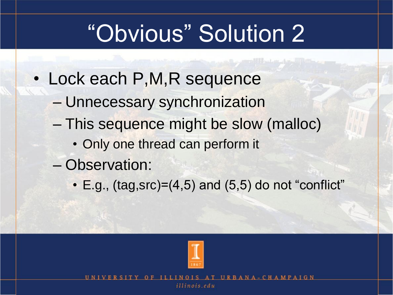# "Obvious" Solution 2

- Lock each P,M,R sequence
	- Unnecessary synchronization
	- This sequence might be slow (malloc)
		- Only one thread can perform it
	- Observation:
		- $\cdot$  E.g., (tag,src)=(4,5) and (5,5) do not "conflict"

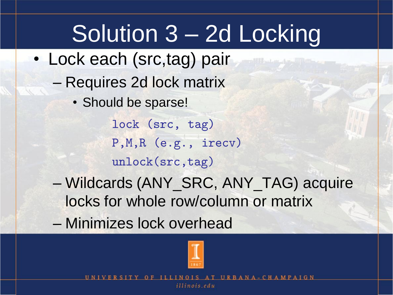# Solution 3 – 2d Locking

- Lock each (src,tag) pair
	- Requires 2d lock matrix
		- Should be sparse!

lock (src, tag) P,M,R (e.g., irecv) unlock(src,tag)

- Wildcards (ANY\_SRC, ANY\_TAG) acquire locks for whole row/column or matrix
- Minimizes lock overhead

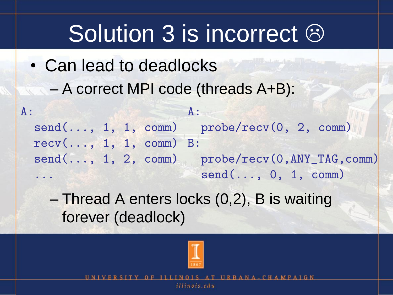## Solution 3 is incorrect  $\odot$

• Can lead to deadlocks – A correct MPI code (threads A+B):

 $A$ : send(..., 1, 1, comm) probe/recv(0, 2, comm) recv(..., 1, 1, comm) B: send(..., 1, 2, comm) probe/recv(0,ANY\_TAG,comm) ... A: send(..., 0, 1, comm)

– Thread A enters locks (0,2), B is waiting forever (deadlock)

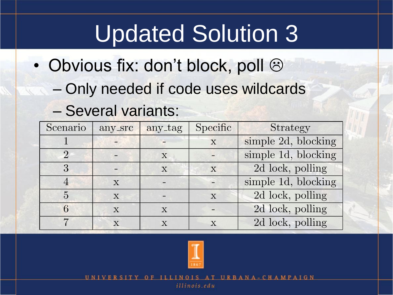# Updated Solution 3

- Obvious fix: don't block, poll  $\odot$ 
	- Only needed if code uses wildcards

#### – Several variants:

| Scenario                    | any_src      | any_tag      | Specific | Strategy            |
|-----------------------------|--------------|--------------|----------|---------------------|
|                             |              |              | X        | simple 2d, blocking |
| $\mathcal{D}_{\mathcal{A}}$ |              | X            |          | simple 1d, blocking |
| 3                           |              | X            | X        | 2d lock, polling    |
|                             | X            |              |          | simple 1d, blocking |
| 5                           | X            |              | X        | 2d lock, polling    |
| 6                           | $\mathbf{X}$ | $\mathbf{X}$ |          | 2d lock, polling    |
| ⇁                           | X            | $\mathbf{x}$ | X        | 2d lock, polling    |

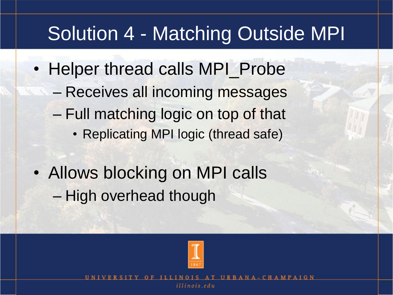### Solution 4 - Matching Outside MPI

- Helper thread calls MPI\_Probe – Receives all incoming messages – Full matching logic on top of that • Replicating MPI logic (thread safe)
- Allows blocking on MPI calls – High overhead though

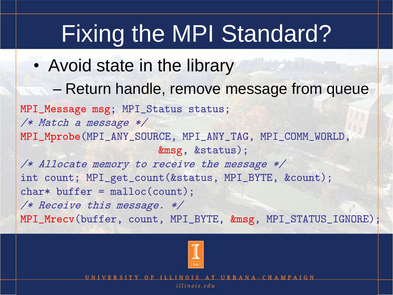# Fixing the MPI Standard?

- Avoid state in the library
	- Return handle, remove message from queue

MPI\_Message msg; MPI\_Status status; /\* Match a message \*/ MPI\_Mprobe(MPI\_ANY\_SOURCE, MPI\_ANY\_TAG, MPI\_COMM\_WORLD, &msg, &status); /\* Allocate memory to receive the message \*/ int count; MPI\_get\_count(&status, MPI\_BYTE, &count); char\* buffer = malloc(count); /\* Receive this message. \*/

MPI\_Mrecv(buffer, count, MPI\_BYTE, &msg, MPI\_STATUS\_IGNORE);

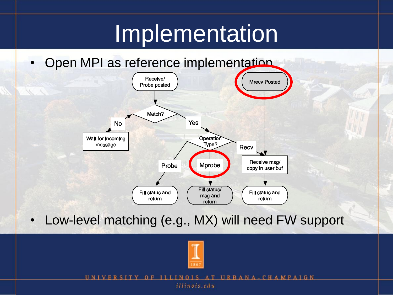### Implementation

Open MPI as reference implementation



• Low-level matching (e.g., MX) will need FW support



UNI URBANA - CHAMPAIGN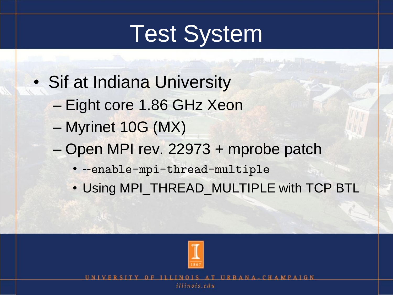# Test System

- Sif at Indiana University
	- Eight core 1.86 GHz Xeon
	- Myrinet 10G (MX)
	- Open MPI rev. 22973 + mprobe patch
		- --enable-mpi-thread-multiple
		- Using MPI\_THREAD\_MULTIPLE with TCP BTL



**IIRRA**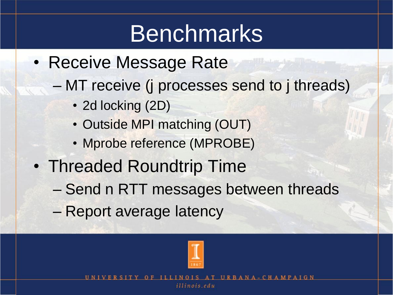## Benchmarks

- Receive Message Rate
	- MT receive (j processes send to j threads)
		- 2d locking (2D)
		- Outside MPI matching (OUT)
		- Mprobe reference (MPROBE)
- Threaded Roundtrip Time
	- Send n RTT messages between threads
	- Report average latency

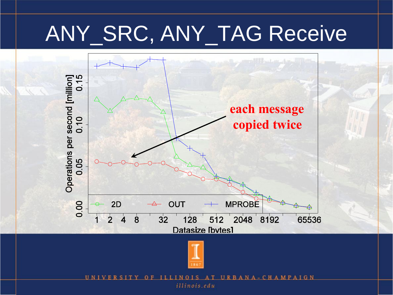### ANY\_SRC, ANY\_TAG Receive





UN1 URBANA-CHAMPAIGN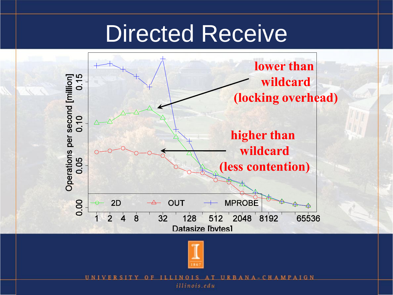### Directed Receive





UN1 URBANA - CHAMPAIGN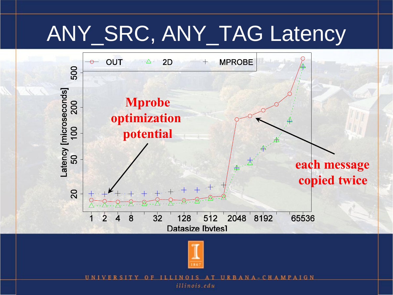### ANY\_SRC, ANY\_TAG Latency





UN1 URBA NA-CHAMPAIGN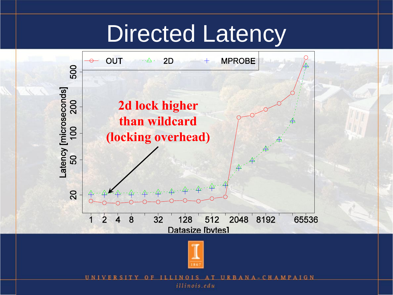### Directed Latency





UN1 **MPAIGN** R CHA